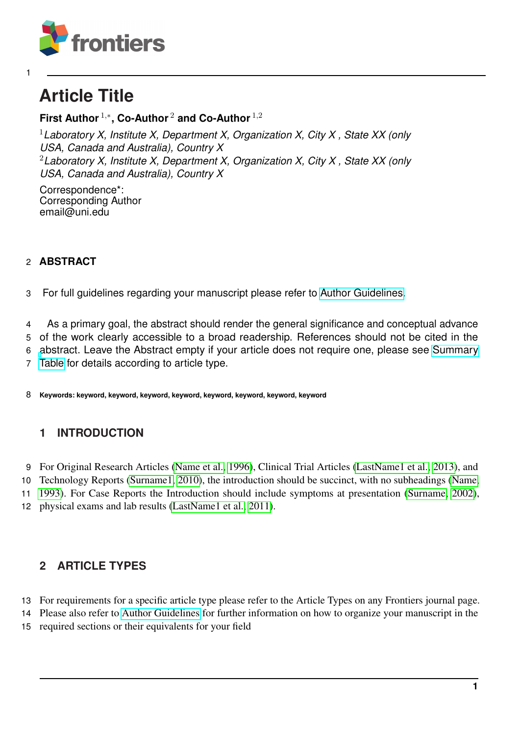

# **Article Title**

# **First Author** <sup>1</sup>,<sup>∗</sup> **, Co-Author** <sup>2</sup> **and Co-Author** <sup>1</sup>,<sup>2</sup>

*Laboratory X, Institute X, Department X, Organization X, City X , State XX (only USA, Canada and Australia), Country X Laboratory X, Institute X, Department X, Organization X, City X , State XX (only USA, Canada and Australia), Country X*

Correspondence\*: Corresponding Author email@uni.edu

### **ABSTRACT**

For full guidelines regarding your manuscript please refer to [Author Guidelines.](http://www.frontiersin.org/about/AuthorGuidelines)

 As a primary goal, the abstract should render the general significance and conceptual advance of the work clearly accessible to a broad readership. References should not be cited in the [a](http://www.frontiersin.org/about/AuthorGuidelines#SummaryTable)bstract. Leave the Abstract empty if your article does not require one, please see [Summary](http://www.frontiersin.org/about/AuthorGuidelines#SummaryTable) [Table](http://www.frontiersin.org/about/AuthorGuidelines#SummaryTable) for details according to article type.

**Keywords: keyword, keyword, keyword, keyword, keyword, keyword, keyword, keyword**

# **1 INTRODUCTION**

For Original Research Articles [\(Name et al., 1996\)](#page-3-0), Clinical Trial Articles [\(LastName1 et al., 2013\)](#page-3-1), and

 Technology Reports [\(Surname1, 2010\)](#page-3-2), the introduction should be succinct, with no subheadings [\(Name,](#page-3-3) [1993\)](#page-3-3). For Case Reports the Introduction should include symptoms at presentation [\(Surname, 2002\)](#page-3-4),

physical exams and lab results [\(LastName1 et al., 2011\)](#page-3-5).

# **2 ARTICLE TYPES**

For requirements for a specific article type please refer to the Article Types on any Frontiers journal page.

Please also refer to [Author Guidelines](http://home.frontiersin.org/about/author-guidelines#Sections) for further information on how to organize your manuscript in the

required sections or their equivalents for your field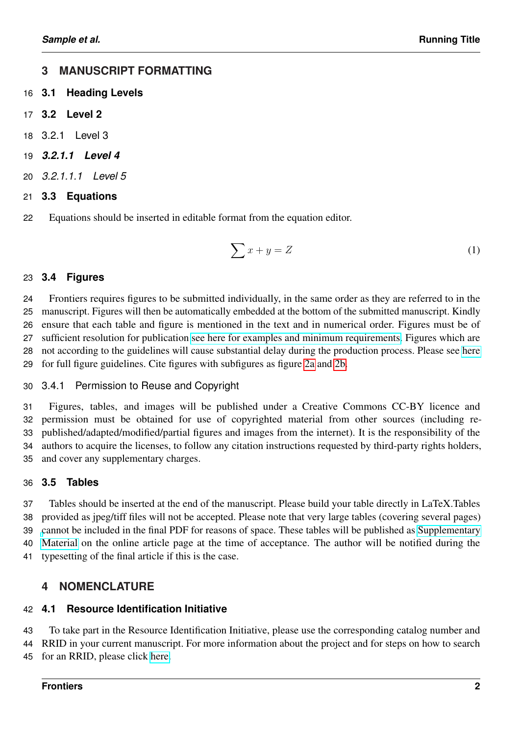# **3 MANUSCRIPT FORMATTING**

- **3.1 Heading Levels**
- **3.2 Level 2**
- 3.2.1 Level 3
- *3.2.1.1 Level 4*
- *3.2.1.1.1 Level 5*
- **3.3 Equations**
- Equations should be inserted in editable format from the equation editor.

$$
\sum x + y = Z \tag{1}
$$

### **3.4 Figures**

 Frontiers requires figures to be submitted individually, in the same order as they are referred to in the manuscript. Figures will then be automatically embedded at the bottom of the submitted manuscript. Kindly ensure that each table and figure is mentioned in the text and in numerical order. Figures must be of sufficient resolution for publication [see here for examples and minimum requirements.](https://www.frontiersin.org/about/author-guidelines#ImageSizeRequirements) Figures which are not according to the guidelines will cause substantial delay during the production process. Please see [here](https://www.frontiersin.org/about/author-guidelines#FigureRequirementsStyleGuidelines) for full figure guidelines. Cite figures with subfigures as figure [2a](#page-4-0) and [2b.](#page-4-0)

3.4.1 Permission to Reuse and Copyright

 Figures, tables, and images will be published under a Creative Commons CC-BY licence and permission must be obtained for use of copyrighted material from other sources (including re- published/adapted/modified/partial figures and images from the internet). It is the responsibility of the authors to acquire the licenses, to follow any citation instructions requested by third-party rights holders, and cover any supplementary charges.

# **3.5 Tables**

 Tables should be inserted at the end of the manuscript. Please build your table directly in LaTeX.Tables provided as jpeg/tiff files will not be accepted. Please note that very large tables (covering several pages) [c](http://home.frontiersin.org/about/author-guidelines#SupplementaryMaterial)annot be included in the final PDF for reasons of space. These tables will be published as [Supplementary](http://home.frontiersin.org/about/author-guidelines#SupplementaryMaterial) [Material](http://home.frontiersin.org/about/author-guidelines#SupplementaryMaterial) on the online article page at the time of acceptance. The author will be notified during the typesetting of the final article if this is the case.

# **4 NOMENCLATURE**

### **4.1 Resource Identification Initiative**

To take part in the Resource Identification Initiative, please use the corresponding catalog number and

RRID in your current manuscript. For more information about the project and for steps on how to search

for an RRID, please click [here.](http://www.frontiersin.org/files/pdf/letter_to_author.pdf)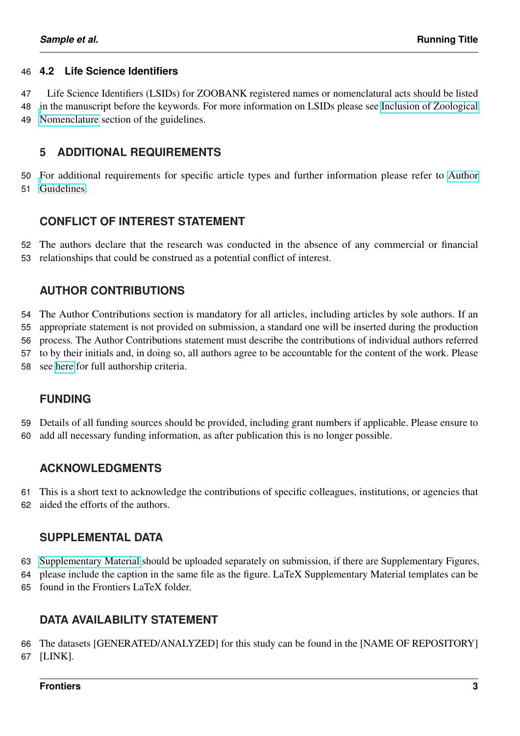#### **4.2 Life Science Identifiers**

 Life Science Identifiers (LSIDs) for ZOOBANK registered names or nomenclatural acts should be listed [i](https://www.frontiersin.org/about/author-guidelines#Nomenclature)n the manuscript before the keywords. For more information on LSIDs please see [Inclusion of Zoological](https://www.frontiersin.org/about/author-guidelines#Nomenclature) [Nomenclature](https://www.frontiersin.org/about/author-guidelines#Nomenclature) section of the guidelines.

### **5 ADDITIONAL REQUIREMENTS**

 [F](http://www.frontiersin.org/about/AuthorGuidelines#AdditionalRequirements)or additional requirements for specific article types and further information please refer to [Author](http://www.frontiersin.org/about/AuthorGuidelines#AdditionalRequirements) [Guidelines.](http://www.frontiersin.org/about/AuthorGuidelines#AdditionalRequirements)

### **CONFLICT OF INTEREST STATEMENT**

 The authors declare that the research was conducted in the absence of any commercial or financial relationships that could be construed as a potential conflict of interest.

### **AUTHOR CONTRIBUTIONS**

The Author Contributions section is mandatory for all articles, including articles by sole authors. If an

appropriate statement is not provided on submission, a standard one will be inserted during the production

process. The Author Contributions statement must describe the contributions of individual authors referred

to by their initials and, in doing so, all authors agree to be accountable for the content of the work. Please

see [here](https://www.frontiersin.org/about/policies-and-publication-ethics#AuthorshipAuthorResponsibilities) for full authorship criteria.

# **FUNDING**

Details of all funding sources should be provided, including grant numbers if applicable. Please ensure to

add all necessary funding information, as after publication this is no longer possible.

### **ACKNOWLEDGMENTS**

 This is a short text to acknowledge the contributions of specific colleagues, institutions, or agencies that aided the efforts of the authors.

### **SUPPLEMENTAL DATA**

[Supplementary Material](http://home.frontiersin.org/about/author-guidelines#SupplementaryMaterial) should be uploaded separately on submission, if there are Supplementary Figures,

please include the caption in the same file as the figure. LaTeX Supplementary Material templates can be

found in the Frontiers LaTeX folder.

# **DATA AVAILABILITY STATEMENT**

 The datasets [GENERATED/ANALYZED] for this study can be found in the [NAME OF REPOSITORY] [LINK].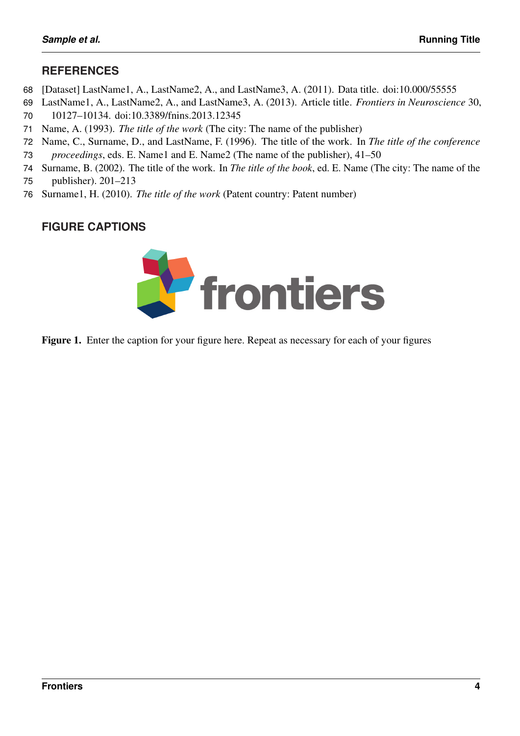# <span id="page-3-5"></span>**REFERENCES**

- [Dataset] LastName1, A., LastName2, A., and LastName3, A. (2011). Data title. doi:10.000/55555
- <span id="page-3-1"></span>LastName1, A., LastName2, A., and LastName3, A. (2013). Article title. *Frontiers in Neuroscience* 30,
- 10127–10134. doi:10.3389/fnins.2013.12345
- <span id="page-3-3"></span>Name, A. (1993). *The title of the work* (The city: The name of the publisher)
- <span id="page-3-0"></span> Name, C., Surname, D., and LastName, F. (1996). The title of the work. In *The title of the conference proceedings*, eds. E. Name1 and E. Name2 (The name of the publisher), 41–50
- <span id="page-3-4"></span> Surname, B. (2002). The title of the work. In *The title of the book*, ed. E. Name (The city: The name of the publisher). 201–213
- <span id="page-3-2"></span>Surname1, H. (2010). *The title of the work* (Patent country: Patent number)

# **FIGURE CAPTIONS**



Figure 1. Enter the caption for your figure here. Repeat as necessary for each of your figures